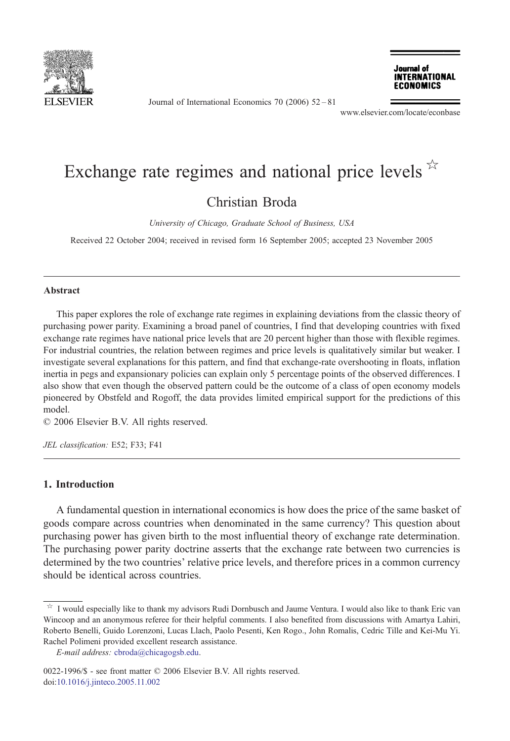

Journal of International Economics 70 (2006) 52–81



www.elsevier.com/locate/econbase

# Exchange rate regimes and national price levels  $\overrightarrow{r}$

### Christian Broda

University of Chicago, Graduate School of Business, USA

Received 22 October 2004; received in revised form 16 September 2005; accepted 23 November 2005

#### Abstract

This paper explores the role of exchange rate regimes in explaining deviations from the classic theory of purchasing power parity. Examining a broad panel of countries, I find that developing countries with fixed exchange rate regimes have national price levels that are 20 percent higher than those with flexible regimes. For industrial countries, the relation between regimes and price levels is qualitatively similar but weaker. I investigate several explanations for this pattern, and find that exchange-rate overshooting in floats, inflation inertia in pegs and expansionary policies can explain only 5 percentage points of the observed differences. I also show that even though the observed pattern could be the outcome of a class of open economy models pioneered by Obstfeld and Rogoff, the data provides limited empirical support for the predictions of this model.

© 2006 Elsevier B.V. All rights reserved.

JEL classification: E52; F33; F41

#### 1. Introduction

A fundamental question in international economics is how does the price of the same basket of goods compare across countries when denominated in the same currency? This question about purchasing power has given birth to the most influential theory of exchange rate determination. The purchasing power parity doctrine asserts that the exchange rate between two currencies is determined by the two countries' relative price levels, and therefore prices in a common currency should be identical across countries.

<sup>☆</sup> I would especially like to thank my advisors Rudi Dornbusch and Jaume Ventura. I would also like to thank Eric van Wincoop and an anonymous referee for their helpful comments. I also benefited from discussions with Amartya Lahiri, Roberto Benelli, Guido Lorenzoni, Lucas Llach, Paolo Pesenti, Ken Rogo., John Romalis, Cedric Tille and Kei-Mu Yi. Rachel Polimeni provided excellent research assistance.

E-mail address: [cbroda@chicagogsb.edu](mailto:cbroda@chicagogsb.edu).

<sup>0022-1996/\$ -</sup> see front matter © 2006 Elsevier B.V. All rights reserved. [doi:10.1016/j.jinteco.2005.11.002](http://dx.doi.org/10.1016/j.jinteco.2005.11.002)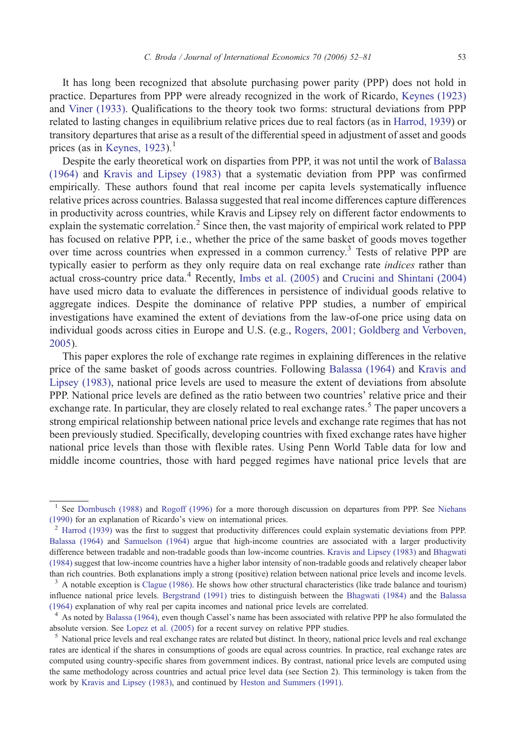It has long been recognized that absolute purchasing power parity (PPP) does not hold in practice. Departures from PPP were already recognized in the work of Ricardo, [Keynes \(1923\)](#page--1-0) and [Viner \(1933\).](#page--1-0) Qualifications to the theory took two forms: structural deviations from PPP related to lasting changes in equilibrium relative prices due to real factors (as in [Harrod, 1939](#page--1-0)) or transitory departures that arise as a result of the differential speed in adjustment of asset and goods prices (as in [Keynes, 1923](#page--1-0)).<sup>1</sup>

Despite the early theoretical work on disparties from PPP, it was not until the work of [Balassa](#page--1-0) [\(1964\)](#page--1-0) and [Kravis and Lipsey \(1983\)](#page--1-0) that a systematic deviation from PPP was confirmed empirically. These authors found that real income per capita levels systematically influence relative prices across countries. Balassa suggested that real income differences capture differences in productivity across countries, while Kravis and Lipsey rely on different factor endowments to explain the systematic correlation.<sup>2</sup> Since then, the vast majority of empirical work related to PPP has focused on relative PPP, i.e., whether the price of the same basket of goods moves together over time across countries when expressed in a common currency.<sup>3</sup> Tests of relative PPP are typically easier to perform as they only require data on real exchange rate indices rather than actual cross-country price data.<sup>4</sup> Recently, Imbs et al.  $(2005)$  and Crucini and Shintani  $(2004)$ have used micro data to evaluate the differences in persistence of individual goods relative to aggregate indices. Despite the dominance of relative PPP studies, a number of empirical investigations have examined the extent of deviations from the law-of-one price using data on individual goods across cities in Europe and U.S. (e.g., [Rogers, 2001; Goldberg and Verboven,](#page--1-0) [2005](#page--1-0)).

This paper explores the role of exchange rate regimes in explaining differences in the relative price of the same basket of goods across countries. Following [Balassa \(1964\)](#page--1-0) and [Kravis and](#page--1-0) [Lipsey \(1983\),](#page--1-0) national price levels are used to measure the extent of deviations from absolute PPP. National price levels are defined as the ratio between two countries' relative price and their exchange rate. In particular, they are closely related to real exchange rates.<sup>5</sup> The paper uncovers a strong empirical relationship between national price levels and exchange rate regimes that has not been previously studied. Specifically, developing countries with fixed exchange rates have higher national price levels than those with flexible rates. Using Penn World Table data for low and middle income countries, those with hard pegged regimes have national price levels that are

See [Dornbusch \(1988\)](#page--1-0) and [Rogoff \(1996\)](#page--1-0) for a more thorough discussion on departures from PPP. See [Niehans](#page--1-0) [\(1990\)](#page--1-0) for an explanation of Ricardo's view on international prices.

 $<sup>2</sup>$  [Harrod \(1939\)](#page--1-0) was the first to suggest that productivity differences could explain systematic deviations from PPP.</sup> [Balassa \(1964\)](#page--1-0) and [Samuelson \(1964\)](#page--1-0) argue that high-income countries are associated with a larger productivity difference between tradable and non-tradable goods than low-income countries. [Kravis and Lipsey \(1983\)](#page--1-0) and [Bhagwati](#page--1-0) [\(1984\)](#page--1-0) suggest that low-income countries have a higher labor intensity of non-tradable goods and relatively cheaper labor than rich countries. Both explanations imply a strong (positive) relation between national price levels and income levels.

 $3$  A notable exception is [Clague \(1986\)](#page--1-0). He shows how other structural characteristics (like trade balance and tourism) influence national price levels. [Bergstrand \(1991\)](#page--1-0) tries to distinguish between the [Bhagwati \(1984\)](#page--1-0) and the [Balassa](#page--1-0) [\(1964\)](#page--1-0) explanation of why real per capita incomes and national price levels are correlated.

<sup>&</sup>lt;sup>4</sup> As noted by [Balassa \(1964\)](#page--1-0), even though Cassel's name has been associated with relative PPP he also formulated the absolute version. See [Lopez et al. \(2005\)](#page--1-0) for a recent survey on relative PPP studies.<br><sup>5</sup> National price levels and real exchange rates are related but distinct. In theory, national price levels and real exchange

rates are identical if the shares in consumptions of goods are equal across countries. In practice, real exchange rates are computed using country-specific shares from government indices. By contrast, national price levels are computed using the same methodology across countries and actual price level data (see Section 2). This terminology is taken from the work by [Kravis and Lipsey \(1983\),](#page--1-0) and continued by [Heston and Summers \(1991\)](#page--1-0).